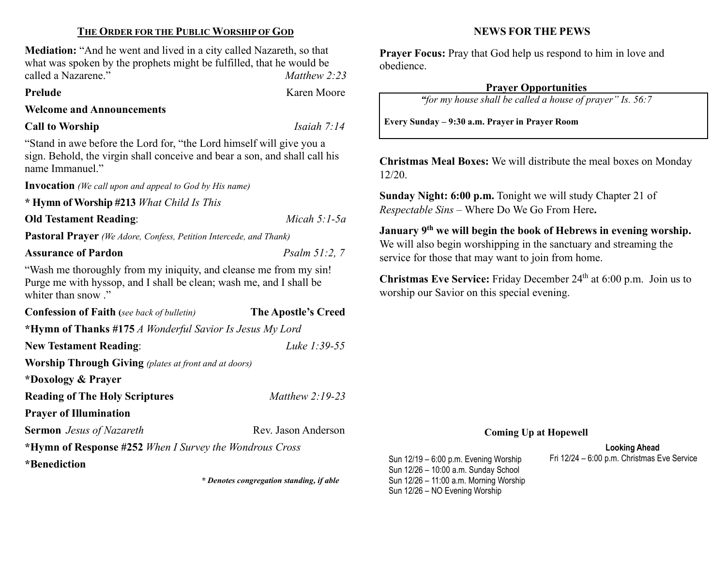## THE ORDER FOR THE PUBLIC WORSHIP OF GOD

Mediation: "And he went and lived in a city called Nazareth, so that what was spoken by the prophets might be fulfilled, that he would be called a Nazarene." (and the Matthew 2:23

#### Prelude Karen Moore

Welcome and Announcements

# Call to Worship Isaiah 7:14

"Stand in awe before the Lord for, "the Lord himself will give you a sign. Behold, the virgin shall conceive and bear a son, and shall call his name Immanuel."

Invocation (We call upon and appeal to God by His name)

\* Hymn of Worship #213 What Child Is This

Old Testament Reading: Micah 5:1-5a

Pastoral Prayer (We Adore, Confess, Petition Intercede, and Thank)

Assurance of Pardon **Particle 1** 2.7

"Wash me thoroughly from my iniquity, and cleanse me from my sin! Purge me with hyssop, and I shall be clean; wash me, and I shall be whiter than snow ."

| <b>Confession of Faith</b> (see back of bulletin)            | The Apostle's Creed |  |  |  |
|--------------------------------------------------------------|---------------------|--|--|--|
| *Hymn of Thanks #175 A Wonderful Savior Is Jesus My Lord     |                     |  |  |  |
| <b>New Testament Reading:</b>                                | Luke 1:39-55        |  |  |  |
| <b>Worship Through Giving</b> (plates at front and at doors) |                     |  |  |  |
| *Doxology & Prayer                                           |                     |  |  |  |
| <b>Reading of The Holy Scriptures</b>                        | Matthew $2:19-23$   |  |  |  |
| <b>Prayer of Illumination</b>                                |                     |  |  |  |
| <b>Sermon</b> Jesus of Nazareth                              | Rev. Jason Anderson |  |  |  |
| *Hymn of Response #252 When I Survey the Wondrous Cross      |                     |  |  |  |
| *Benediction                                                 |                     |  |  |  |
|                                                              |                     |  |  |  |

\* Denotes congregation standing, if able

## NEWS FOR THE PEWS

Prayer Focus: Pray that God help us respond to him in love and obedience.

### Prayer Opportunities

"for my house shall be called a house of prayer" Is. 56:7

Every Sunday – 9:30 a.m. Prayer in Prayer Room

Christmas Meal Boxes: We will distribute the meal boxes on Monday 12/20.

Sunday Night: 6:00 p.m. Tonight we will study Chapter 21 of Respectable Sins – Where Do We Go From Here.

January 9th we will begin the book of Hebrews in evening worship. We will also begin worshipping in the sanctuary and streaming the service for those that may want to join from home.

Christmas Eve Service: Friday December 24th at 6:00 p.m. Join us to worship our Savior on this special evening.

#### Coming Up at Hopewell

Looking Ahead Sun 12/19 – 6:00 p.m. Evening Worship Fri 12/24 – 6:00 p.m. Christmas Eve Service

Sun 12/26 – 10:00 a.m. Sunday School Sun 12/26 – 11:00 a.m. Morning Worship Sun 12/26 – NO Evening Worship